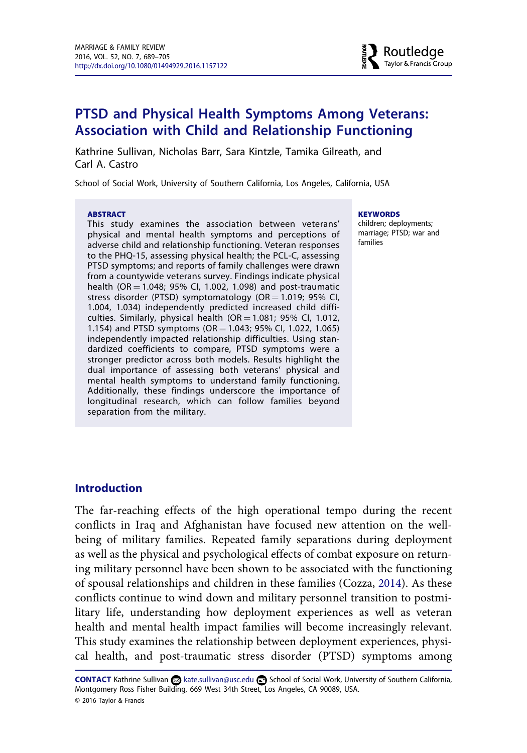# **PTSD and Physical Health Symptoms Among Veterans: Association with Child and Relationship Functioning**

Kathrine Sullivan, Nicholas Barr, Sara Kintzle, Tamika Gilreath, and Carl A. Castro

School of Social Work, University of Southern California, Los Angeles, California, USA

#### **ABSTRACT**

This study examines the association between veterans' physical and mental health symptoms and perceptions of adverse child and relationship functioning. Veteran responses to the PHQ-15, assessing physical health; the PCL-C, assessing PTSD symptoms; and reports of family challenges were drawn from a countywide veterans survey. Findings indicate physical health (OR = 1.048; 95% Cl, 1.002, 1.098) and post-traumatic stress disorder (PTSD) symptomatology (OR = 1.019; 95% CI, 1.004, 1.034) independently predicted increased child difficulties. Similarly, physical health ( $OR = 1.081$ ; 95% CI, 1.012, 1.154) and PTSD symptoms (OR = 1.043; 95% CI, 1.022, 1.065) independently impacted relationship difficulties. Using standardized coefficients to compare, PTSD symptoms were a stronger predictor across both models. Results highlight the dual importance of assessing both veterans' physical and mental health symptoms to understand family functioning. Additionally, these findings underscore the importance of longitudinal research, which can follow families beyond separation from the military.

#### **KEYWORDS**

children; deployments; marriage; PTSD; war and families

#### **Introduction**

The far-reaching effects of the high operational tempo during the recent conflicts in Iraq and Afghanistan have focused new attention on the wellbeing of military families. Repeated family separations during deployment as well as the physical and psychological effects of combat exposure on returning military personnel have been shown to be associated with the functioning of spousal relationships and children in these families (Cozza, [2014\)](#page-14-0). As these conflicts continue to wind down and military personnel transition to postmilitary life, understanding how deployment experiences as well as veteran health and mental health impact families will become increasingly relevant. This study examines the relationship between deployment experiences, physical health, and post-traumatic stress disorder (PTSD) symptoms among

CONTACT Kathrine Sullivan & [kate.sullivan@usc.edu](mailto:kate.sullivan@usc.edu) **B** School of Social Work, University of Southern California, Montgomery Ross Fisher Building, 669 West 34th Street, Los Angeles, CA 90089, USA. © 2016 Taylor & Francis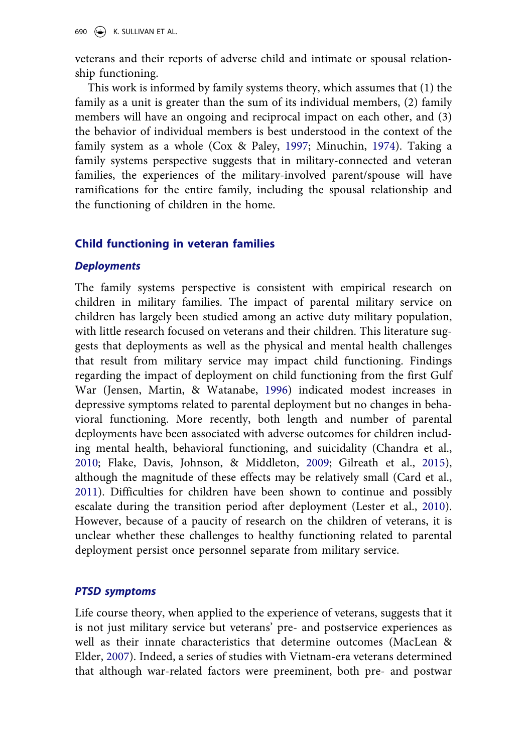veterans and their reports of adverse child and intimate or spousal relationship functioning.

This work is informed by family systems theory, which assumes that (1) the family as a unit is greater than the sum of its individual members, (2) family members will have an ongoing and reciprocal impact on each other, and (3) the behavior of individual members is best understood in the context of the family system as a whole (Cox & Paley, [1997;](#page-14-0) Minuchin, [1974](#page-16-0)). Taking a family systems perspective suggests that in military-connected and veteran families, the experiences of the military-involved parent/spouse will have ramifications for the entire family, including the spousal relationship and the functioning of children in the home.

### **Child functioning in veteran families**

### *Deployments*

The family systems perspective is consistent with empirical research on children in military families. The impact of parental military service on children has largely been studied among an active duty military population, with little research focused on veterans and their children. This literature suggests that deployments as well as the physical and mental health challenges that result from military service may impact child functioning. Findings regarding the impact of deployment on child functioning from the first Gulf War (Jensen, Martin, & Watanabe, [1996](#page-15-0)) indicated modest increases in depressive symptoms related to parental deployment but no changes in behavioral functioning. More recently, both length and number of parental deployments have been associated with adverse outcomes for children including mental health, behavioral functioning, and suicidality (Chandra et al., [2010;](#page-14-0) Flake, Davis, Johnson, & Middleton, [2009;](#page-15-0) Gilreath et al., [2015\)](#page-15-0), although the magnitude of these effects may be relatively small (Card et al., [2011\)](#page-14-0). Difficulties for children have been shown to continue and possibly escalate during the transition period after deployment (Lester et al., [2010\)](#page-16-0). However, because of a paucity of research on the children of veterans, it is unclear whether these challenges to healthy functioning related to parental deployment persist once personnel separate from military service.

### *PTSD symptoms*

Life course theory, when applied to the experience of veterans, suggests that it is not just military service but veterans' pre- and postservice experiences as well as their innate characteristics that determine outcomes (MacLean & Elder, [2007\)](#page-16-0). Indeed, a series of studies with Vietnam-era veterans determined that although war-related factors were preeminent, both pre- and postwar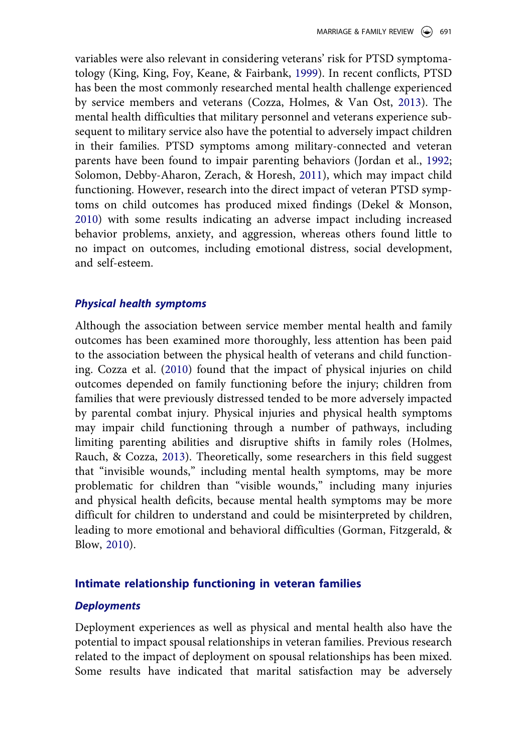variables were also relevant in considering veterans' risk for PTSD symptomatology (King, King, Foy, Keane, & Fairbank, [1999](#page-15-0)). In recent conflicts, PTSD has been the most commonly researched mental health challenge experienced by service members and veterans (Cozza, Holmes, & Van Ost, [2013\)](#page-14-0). The mental health difficulties that military personnel and veterans experience subsequent to military service also have the potential to adversely impact children in their families. PTSD symptoms among military-connected and veteran parents have been found to impair parenting behaviors (Jordan et al., [1992;](#page-15-0) Solomon, Debby-Aharon, Zerach, & Horesh, [2011](#page-16-0)), which may impact child functioning. However, research into the direct impact of veteran PTSD symptoms on child outcomes has produced mixed findings (Dekel & Monson, [2010\)](#page-15-0) with some results indicating an adverse impact including increased behavior problems, anxiety, and aggression, whereas others found little to no impact on outcomes, including emotional distress, social development, and self-esteem.

#### *Physical health symptoms*

Although the association between service member mental health and family outcomes has been examined more thoroughly, less attention has been paid to the association between the physical health of veterans and child functioning. Cozza et al. ([2010\)](#page-14-0) found that the impact of physical injuries on child outcomes depended on family functioning before the injury; children from families that were previously distressed tended to be more adversely impacted by parental combat injury. Physical injuries and physical health symptoms may impair child functioning through a number of pathways, including limiting parenting abilities and disruptive shifts in family roles (Holmes, Rauch, & Cozza, [2013\)](#page-14-0). Theoretically, some researchers in this field suggest that "invisible wounds," including mental health symptoms, may be more problematic for children than "visible wounds," including many injuries and physical health deficits, because mental health symptoms may be more difficult for children to understand and could be misinterpreted by children, leading to more emotional and behavioral difficulties (Gorman, Fitzgerald, & Blow, [2010](#page-15-0)).

#### **Intimate relationship functioning in veteran families**

### *Deployments*

Deployment experiences as well as physical and mental health also have the potential to impact spousal relationships in veteran families. Previous research related to the impact of deployment on spousal relationships has been mixed. Some results have indicated that marital satisfaction may be adversely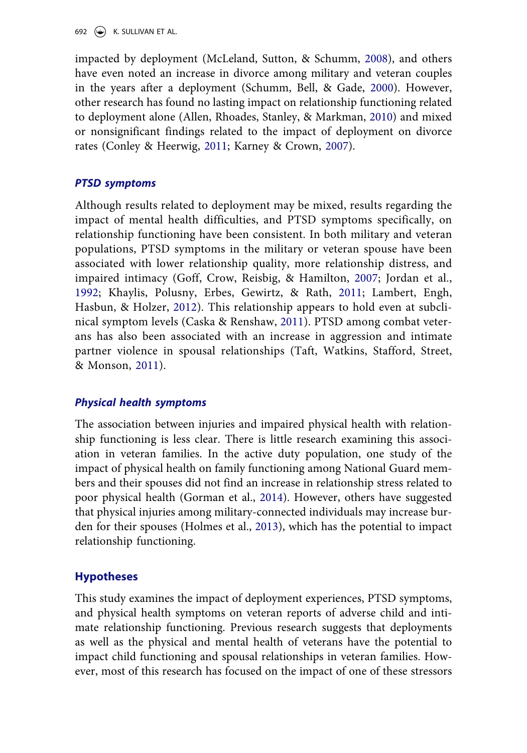impacted by deployment (McLeland, Sutton, & Schumm, [2008\)](#page-16-0), and others have even noted an increase in divorce among military and veteran couples in the years after a deployment (Schumm, Bell, & Gade, [2000](#page-16-0)). However, other research has found no lasting impact on relationship functioning related to deployment alone (Allen, Rhoades, Stanley, & Markman, [2010](#page-14-0)) and mixed or nonsignificant findings related to the impact of deployment on divorce rates (Conley & Heerwig, [2011](#page-14-0); Karney & Crown, [2007](#page-15-0)).

# *PTSD symptoms*

Although results related to deployment may be mixed, results regarding the impact of mental health difficulties, and PTSD symptoms specifically, on relationship functioning have been consistent. In both military and veteran populations, PTSD symptoms in the military or veteran spouse have been associated with lower relationship quality, more relationship distress, and impaired intimacy (Goff, Crow, Reisbig, & Hamilton, [2007](#page-15-0); Jordan et al., [1992](#page-15-0); Khaylis, Polusny, Erbes, Gewirtz, & Rath, [2011](#page-15-0); Lambert, Engh, Hasbun, & Holzer, [2012](#page-15-0)). This relationship appears to hold even at subclinical symptom levels (Caska & Renshaw, [2011\)](#page-14-0). PTSD among combat veterans has also been associated with an increase in aggression and intimate partner violence in spousal relationships (Taft, Watkins, Stafford, Street, & Monson, [2011](#page-16-0)).

# *Physical health symptoms*

The association between injuries and impaired physical health with relationship functioning is less clear. There is little research examining this association in veteran families. In the active duty population, one study of the impact of physical health on family functioning among National Guard members and their spouses did not find an increase in relationship stress related to poor physical health (Gorman et al., [2014](#page-15-0)). However, others have suggested that physical injuries among military-connected individuals may increase burden for their spouses (Holmes et al., [2013](#page-15-0)), which has the potential to impact relationship functioning.

# **Hypotheses**

This study examines the impact of deployment experiences, PTSD symptoms, and physical health symptoms on veteran reports of adverse child and intimate relationship functioning. Previous research suggests that deployments as well as the physical and mental health of veterans have the potential to impact child functioning and spousal relationships in veteran families. However, most of this research has focused on the impact of one of these stressors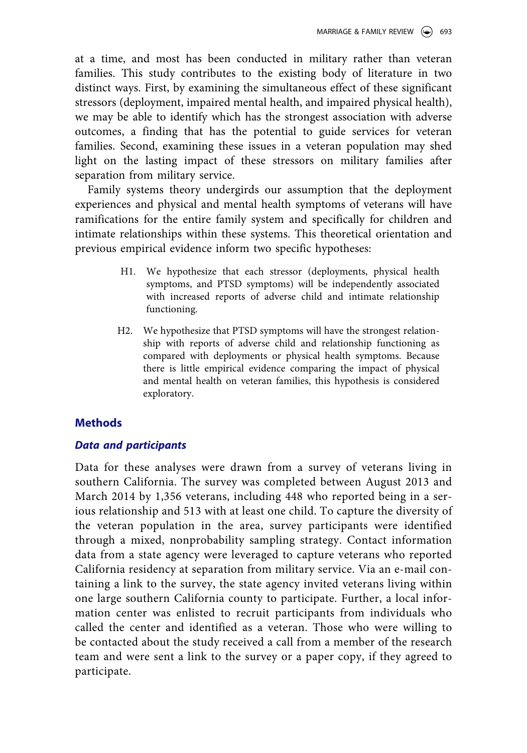at a time, and most has been conducted in military rather than veteran families. This study contributes to the existing body of literature in two distinct ways. First, by examining the simultaneous effect of these significant stressors (deployment, impaired mental health, and impaired physical health), we may be able to identify which has the strongest association with adverse outcomes, a finding that has the potential to guide services for veteran families. Second, examining these issues in a veteran population may shed light on the lasting impact of these stressors on military families after separation from military service.

Family systems theory undergirds our assumption that the deployment experiences and physical and mental health symptoms of veterans will have ramifications for the entire family system and specifically for children and intimate relationships within these systems. This theoretical orientation and previous empirical evidence inform two specific hypotheses:

- H1. We hypothesize that each stressor (deployments, physical health symptoms, and PTSD symptoms) will be independently associated with increased reports of adverse child and intimate relationship functioning.
- H2. We hypothesize that PTSD symptoms will have the strongest relationship with reports of adverse child and relationship functioning as compared with deployments or physical health symptoms. Because there is little empirical evidence comparing the impact of physical and mental health on veteran families, this hypothesis is considered exploratory.

### **Methods**

### *Data and participants*

Data for these analyses were drawn from a survey of veterans living in southern California. The survey was completed between August 2013 and March 2014 by 1,356 veterans, including 448 who reported being in a serious relationship and 513 with at least one child. To capture the diversity of the veteran population in the area, survey participants were identified through a mixed, nonprobability sampling strategy. Contact information data from a state agency were leveraged to capture veterans who reported California residency at separation from military service. Via an e-mail containing a link to the survey, the state agency invited veterans living within one large southern California county to participate. Further, a local information center was enlisted to recruit participants from individuals who called the center and identified as a veteran. Those who were willing to be contacted about the study received a call from a member of the research team and were sent a link to the survey or a paper copy, if they agreed to participate.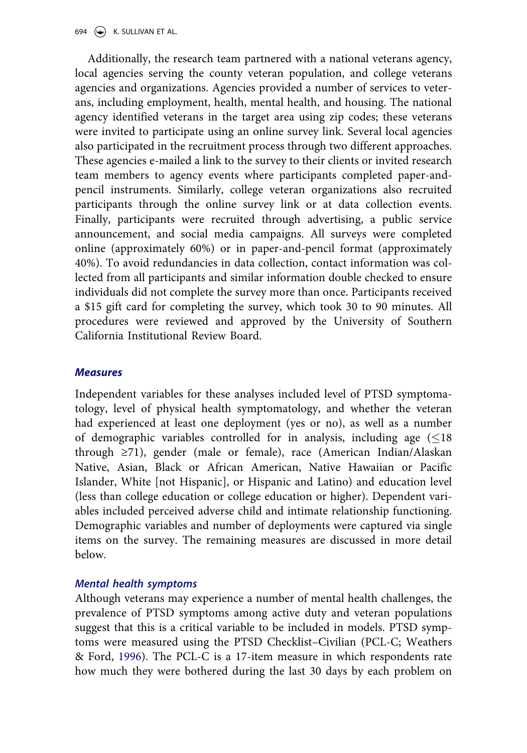Additionally, the research team partnered with a national veterans agency, local agencies serving the county veteran population, and college veterans agencies and organizations. Agencies provided a number of services to veterans, including employment, health, mental health, and housing. The national agency identified veterans in the target area using zip codes; these veterans were invited to participate using an online survey link. Several local agencies also participated in the recruitment process through two different approaches. These agencies e-mailed a link to the survey to their clients or invited research team members to agency events where participants completed paper-andpencil instruments. Similarly, college veteran organizations also recruited participants through the online survey link or at data collection events. Finally, participants were recruited through advertising, a public service announcement, and social media campaigns. All surveys were completed online (approximately 60%) or in paper-and-pencil format (approximately 40%). To avoid redundancies in data collection, contact information was collected from all participants and similar information double checked to ensure individuals did not complete the survey more than once. Participants received a \$15 gift card for completing the survey, which took 30 to 90 minutes. All procedures were reviewed and approved by the University of Southern California Institutional Review Board.

### *Measures*

Independent variables for these analyses included level of PTSD symptomatology, level of physical health symptomatology, and whether the veteran had experienced at least one deployment (yes or no), as well as a number of demographic variables controlled for in analysis, including age  $\leq 18$ through ≥71), gender (male or female), race (American Indian/Alaskan Native, Asian, Black or African American, Native Hawaiian or Pacific Islander, White [not Hispanic], or Hispanic and Latino) and education level (less than college education or college education or higher). Dependent variables included perceived adverse child and intimate relationship functioning. Demographic variables and number of deployments were captured via single items on the survey. The remaining measures are discussed in more detail below.

# *Mental health symptoms*

Although veterans may experience a number of mental health challenges, the prevalence of PTSD symptoms among active duty and veteran populations suggest that this is a critical variable to be included in models. PTSD symptoms were measured using the PTSD Checklist–Civilian (PCL-C; Weathers & Ford, [1996](#page-16-0)). The PCL-C is a 17-item measure in which respondents rate how much they were bothered during the last 30 days by each problem on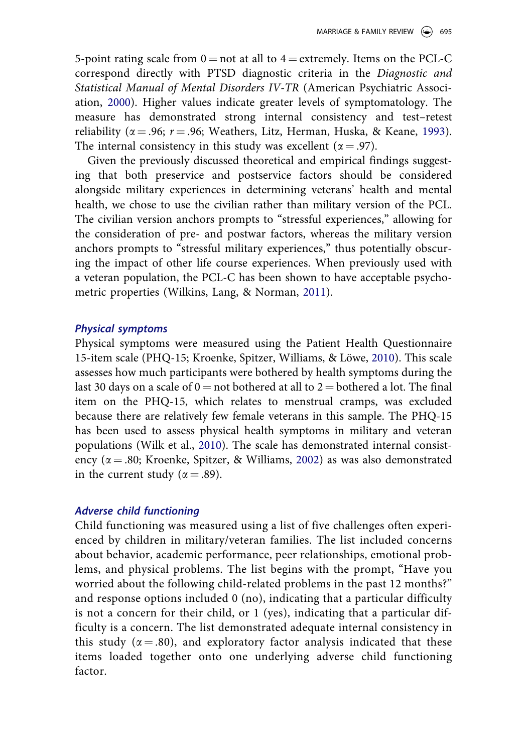5-point rating scale from  $0 = not$  at all to  $4 =$  extremely. Items on the PCL-C correspond directly with PTSD diagnostic criteria in the *Diagnostic and Statistical Manual of Mental Disorders IV-TR* (American Psychiatric Association, [2000\)](#page-14-0). Higher values indicate greater levels of symptomatology. The measure has demonstrated strong internal consistency and test–retest reliability ( $\alpha = .96$ ;  $r = .96$ ; Weathers, Litz, Herman, Huska, & Keane, [1993\)](#page-16-0). The internal consistency in this study was excellent ( $\alpha = .97$ ).

Given the previously discussed theoretical and empirical findings suggesting that both preservice and postservice factors should be considered alongside military experiences in determining veterans' health and mental health, we chose to use the civilian rather than military version of the PCL. The civilian version anchors prompts to "stressful experiences," allowing for the consideration of pre- and postwar factors, whereas the military version anchors prompts to "stressful military experiences," thus potentially obscuring the impact of other life course experiences. When previously used with a veteran population, the PCL-C has been shown to have acceptable psychometric properties (Wilkins, Lang, & Norman, [2011\)](#page-16-0).

#### *Physical symptoms*

Physical symptoms were measured using the Patient Health Questionnaire 15-item scale (PHQ-15; Kroenke, Spitzer, Williams, & Löwe, [2010](#page-15-0)). This scale assesses how much participants were bothered by health symptoms during the last 30 days on a scale of  $0 =$  not bothered at all to  $2 =$  bothered a lot. The final item on the PHQ-15, which relates to menstrual cramps, was excluded because there are relatively few female veterans in this sample. The PHQ-15 has been used to assess physical health symptoms in military and veteran populations (Wilk et al., [2010\)](#page-16-0). The scale has demonstrated internal consistency ( $\alpha$  = .80; Kroenke, Spitzer, & Williams, [2002](#page-15-0)) as was also demonstrated in the current study ( $\alpha = .89$ ).

#### *Adverse child functioning*

Child functioning was measured using a list of five challenges often experienced by children in military/veteran families. The list included concerns about behavior, academic performance, peer relationships, emotional problems, and physical problems. The list begins with the prompt, "Have you worried about the following child-related problems in the past 12 months?" and response options included 0 (no), indicating that a particular difficulty is not a concern for their child, or 1 (yes), indicating that a particular difficulty is a concern. The list demonstrated adequate internal consistency in this study ( $\alpha = .80$ ), and exploratory factor analysis indicated that these items loaded together onto one underlying adverse child functioning factor.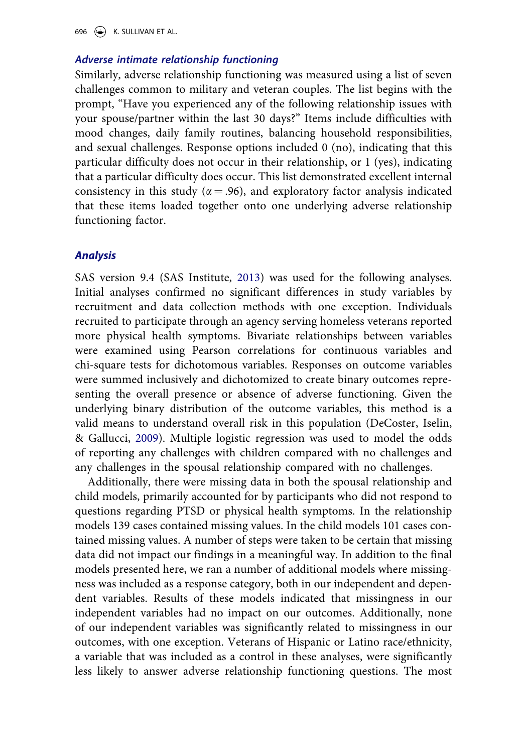696  $\left(\rightarrow\right)$  K. SULLIVAN ET AL.

### *Adverse intimate relationship functioning*

Similarly, adverse relationship functioning was measured using a list of seven challenges common to military and veteran couples. The list begins with the prompt, "Have you experienced any of the following relationship issues with your spouse/partner within the last 30 days?" Items include difficulties with mood changes, daily family routines, balancing household responsibilities, and sexual challenges. Response options included 0 (no), indicating that this particular difficulty does not occur in their relationship, or 1 (yes), indicating that a particular difficulty does occur. This list demonstrated excellent internal consistency in this study ( $\alpha = .96$ ), and exploratory factor analysis indicated that these items loaded together onto one underlying adverse relationship functioning factor.

### *Analysis*

SAS version 9.4 (SAS Institute, [2013\)](#page-16-0) was used for the following analyses. Initial analyses confirmed no significant differences in study variables by recruitment and data collection methods with one exception. Individuals recruited to participate through an agency serving homeless veterans reported more physical health symptoms. Bivariate relationships between variables were examined using Pearson correlations for continuous variables and chi-square tests for dichotomous variables. Responses on outcome variables were summed inclusively and dichotomized to create binary outcomes representing the overall presence or absence of adverse functioning. Given the underlying binary distribution of the outcome variables, this method is a valid means to understand overall risk in this population (DeCoster, Iselin, & Gallucci, [2009\)](#page-14-0). Multiple logistic regression was used to model the odds of reporting any challenges with children compared with no challenges and any challenges in the spousal relationship compared with no challenges.

Additionally, there were missing data in both the spousal relationship and child models, primarily accounted for by participants who did not respond to questions regarding PTSD or physical health symptoms. In the relationship models 139 cases contained missing values. In the child models 101 cases contained missing values. A number of steps were taken to be certain that missing data did not impact our findings in a meaningful way. In addition to the final models presented here, we ran a number of additional models where missingness was included as a response category, both in our independent and dependent variables. Results of these models indicated that missingness in our independent variables had no impact on our outcomes. Additionally, none of our independent variables was significantly related to missingness in our outcomes, with one exception. Veterans of Hispanic or Latino race/ethnicity, a variable that was included as a control in these analyses, were significantly less likely to answer adverse relationship functioning questions. The most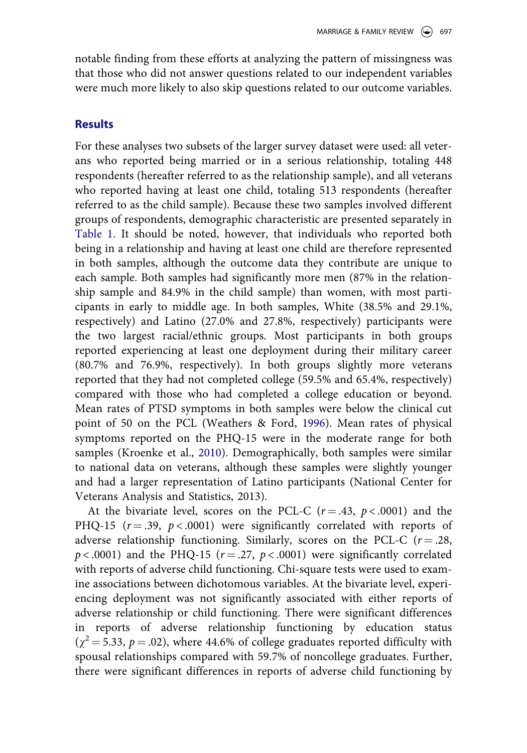notable finding from these efforts at analyzing the pattern of missingness was that those who did not answer questions related to our independent variables were much more likely to also skip questions related to our outcome variables.

#### **Results**

For these analyses two subsets of the larger survey dataset were used: all veterans who reported being married or in a serious relationship, totaling 448 respondents (hereafter referred to as the relationship sample), and all veterans who reported having at least one child, totaling 513 respondents (hereafter referred to as the child sample). Because these two samples involved different groups of respondents, demographic characteristic are presented separately in [Table 1](#page-9-0). It should be noted, however, that individuals who reported both being in a relationship and having at least one child are therefore represented in both samples, although the outcome data they contribute are unique to each sample. Both samples had significantly more men (87% in the relationship sample and 84.9% in the child sample) than women, with most participants in early to middle age. In both samples, White (38.5% and 29.1%, respectively) and Latino (27.0% and 27.8%, respectively) participants were the two largest racial/ethnic groups. Most participants in both groups reported experiencing at least one deployment during their military career (80.7% and 76.9%, respectively). In both groups slightly more veterans reported that they had not completed college (59.5% and 65.4%, respectively) compared with those who had completed a college education or beyond. Mean rates of PTSD symptoms in both samples were below the clinical cut point of 50 on the PCL (Weathers & Ford, [1996\)](#page-16-0). Mean rates of physical symptoms reported on the PHQ-15 were in the moderate range for both samples (Kroenke et al., [2010\)](#page-15-0). Demographically, both samples were similar to national data on veterans, although these samples were slightly younger and had a larger representation of Latino participants (National Center for Veterans Analysis and Statistics, 2013).

At the bivariate level, scores on the PCL-C  $(r = .43, p < .0001)$  and the PHQ-15  $(r = .39, p < .0001)$  were significantly correlated with reports of adverse relationship functioning. Similarly, scores on the PCL-C  $(r = .28, )$  $p < .0001$ ) and the PHQ-15 ( $r = .27$ ,  $p < .0001$ ) were significantly correlated with reports of adverse child functioning. Chi-square tests were used to examine associations between dichotomous variables. At the bivariate level, experiencing deployment was not significantly associated with either reports of adverse relationship or child functioning. There were significant differences in reports of adverse relationship functioning by education status ( $\chi^2$  = 5.33,  $p$  = .02), where 44.6% of college graduates reported difficulty with spousal relationships compared with 59.7% of noncollege graduates. Further, there were significant differences in reports of adverse child functioning by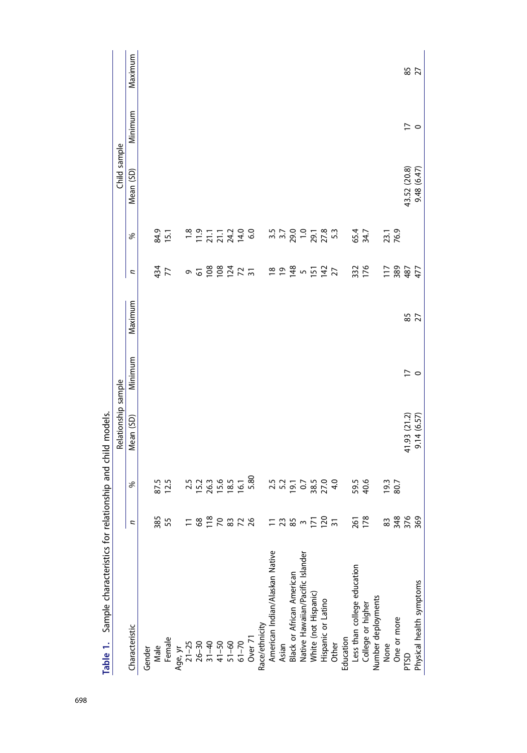<span id="page-9-0"></span>

| <b>Lable 1: Salinb and School School School School School School School School School School School School School</b> |                   |                                           |                     |                          |          |                                                            |                                                                                                               |              |                            |          |
|-----------------------------------------------------------------------------------------------------------------------|-------------------|-------------------------------------------|---------------------|--------------------------|----------|------------------------------------------------------------|---------------------------------------------------------------------------------------------------------------|--------------|----------------------------|----------|
|                                                                                                                       |                   |                                           | Relationship sample |                          |          |                                                            |                                                                                                               | Child sample |                            |          |
| Characteristic                                                                                                        | ς                 | ళ                                         | Mean (SD)           | Minimum                  | Maximum  | Ξ                                                          | ళ                                                                                                             | Mean (SD)    | Minimum                    | Maximum  |
| Gender                                                                                                                |                   |                                           |                     |                          |          |                                                            |                                                                                                               |              |                            |          |
| Male                                                                                                                  | 385               |                                           |                     |                          |          | 434                                                        | 84.9                                                                                                          |              |                            |          |
| Female                                                                                                                | 55                | 87.5<br>12.5                              |                     |                          |          | 77                                                         | $\overline{5}$                                                                                                |              |                            |          |
| Age, yr                                                                                                               |                   |                                           |                     |                          |          |                                                            |                                                                                                               |              |                            |          |
| $21 - 25$                                                                                                             |                   | 2.5                                       |                     |                          |          |                                                            | $\frac{8}{1}$                                                                                                 |              |                            |          |
|                                                                                                                       | $\frac{8}{3}$     |                                           |                     |                          |          | თ __<br>თ                                                  |                                                                                                               |              |                            |          |
| $26 - 30$<br>31 - 40                                                                                                  |                   |                                           |                     |                          |          | 108                                                        |                                                                                                               |              |                            |          |
| $41 - 50$                                                                                                             | 18878             | 15 13 15 15<br>15 15 16 17<br>18 11 18 11 |                     |                          |          |                                                            | 0<br>2 1 1 2 3 4<br>2 7 7 4 2                                                                                 |              |                            |          |
| $51 - 60$                                                                                                             |                   |                                           |                     |                          |          |                                                            |                                                                                                               |              |                            |          |
| $61 - 70$                                                                                                             |                   | $16.1$<br>5.80                            |                     |                          |          | 2827                                                       |                                                                                                               |              |                            |          |
| Over 71                                                                                                               |                   |                                           |                     |                          |          |                                                            | 6.0                                                                                                           |              |                            |          |
| Race/ethnicity                                                                                                        |                   |                                           |                     |                          |          |                                                            |                                                                                                               |              |                            |          |
| American Indian/Alaskan Native                                                                                        |                   |                                           |                     |                          |          |                                                            |                                                                                                               |              |                            |          |
| Asian                                                                                                                 | 736               | 2.5<br>5.2<br>19.1                        |                     |                          |          | $\frac{6}{6}$                                              | 5 5 5 6 7 8 7 9 7 9 7 8 7 8 7 8 7 8 9 7 8 9 7 8 9 7 8 9 7 8 9 7 8 9 7 8 9 7 8 9 7 8 9 7 8 9 7 8 9 7 8 9 7 8 9 |              |                            |          |
| Black or African American                                                                                             |                   |                                           |                     |                          |          |                                                            |                                                                                                               |              |                            |          |
| Native Hawaiian/Pacific Islander                                                                                      | $\mathsf{L}$      |                                           |                     |                          |          |                                                            |                                                                                                               |              |                            |          |
| White (not Hispanic)                                                                                                  |                   |                                           |                     |                          |          |                                                            |                                                                                                               |              |                            |          |
| Hispanic or Latino                                                                                                    | $\frac{171}{20}$  | 0.7<br>38.5<br>27.0                       |                     |                          |          | $\frac{8}{1}$ in $\frac{5}{1}$ $\frac{4}{1}$ $\frac{2}{1}$ |                                                                                                               |              |                            |          |
| Other                                                                                                                 |                   | 4.0                                       |                     |                          |          |                                                            | 53                                                                                                            |              |                            |          |
| Education                                                                                                             |                   |                                           |                     |                          |          |                                                            |                                                                                                               |              |                            |          |
| Less than college education                                                                                           | <b>261</b><br>178 | 59.5<br>40.6                              |                     |                          |          | 332                                                        | 65.4<br>34.7                                                                                                  |              |                            |          |
| College or higher                                                                                                     |                   |                                           |                     |                          |          | 176                                                        |                                                                                                               |              |                            |          |
| Number deployments                                                                                                    |                   |                                           |                     |                          |          |                                                            |                                                                                                               |              |                            |          |
| None                                                                                                                  |                   | $\frac{19.3}{80.7}$                       |                     |                          |          | $\frac{17}{11}$                                            | 23.1<br>76.9                                                                                                  |              |                            |          |
| One or more                                                                                                           |                   |                                           |                     |                          |          | 389                                                        |                                                                                                               |              |                            |          |
| <b>PTSD</b>                                                                                                           | 33 35 36          |                                           | 41.93 (21.2)        | $\overline{\phantom{0}}$ |          | 487                                                        |                                                                                                               | 43.52 (20.8) | $\overline{\phantom{0}}$ 0 | 85<br>27 |
| Physical health symptoms                                                                                              |                   |                                           | 9.14 (6.57)         |                          | 85<br>27 | 477                                                        |                                                                                                               | 9.48 (6.47)  |                            |          |
|                                                                                                                       |                   |                                           |                     |                          |          |                                                            |                                                                                                               |              |                            |          |

**Table 1.** Sample characteristics for relationship and child models. Sample characteristics for relationship and child models Table 1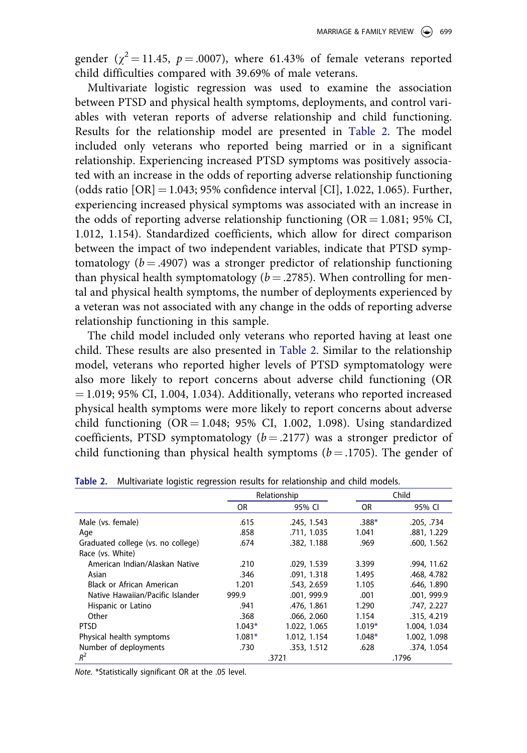gender ( $\chi^2$  = 11.45,  $p$  = .0007), where 61.43% of female veterans reported child difficulties compared with 39.69% of male veterans.

Multivariate logistic regression was used to examine the association between PTSD and physical health symptoms, deployments, and control variables with veteran reports of adverse relationship and child functioning. Results for the relationship model are presented in Table 2. The model included only veterans who reported being married or in a significant relationship. Experiencing increased PTSD symptoms was positively associated with an increase in the odds of reporting adverse relationship functioning (odds ratio  $[OR] = 1.043$ ; 95% confidence interval  $[CI]$ , 1.022, 1.065). Further, experiencing increased physical symptoms was associated with an increase in the odds of reporting adverse relationship functioning ( $OR = 1.081$ ; 95% CI, 1.012, 1.154). Standardized coefficients, which allow for direct comparison between the impact of two independent variables, indicate that PTSD symptomatology ( $b = .4907$ ) was a stronger predictor of relationship functioning than physical health symptomatology ( $b = .2785$ ). When controlling for mental and physical health symptoms, the number of deployments experienced by a veteran was not associated with any change in the odds of reporting adverse relationship functioning in this sample.

The child model included only veterans who reported having at least one child. These results are also presented in Table 2. Similar to the relationship model, veterans who reported higher levels of PTSD symptomatology were also more likely to report concerns about adverse child functioning (OR  $=$  1.019; 95% CI, 1.004, 1.034). Additionally, veterans who reported increased physical health symptoms were more likely to report concerns about adverse child functioning  $(OR = 1.048; 95\% \text{ CI}, 1.002, 1.098)$ . Using standardized coefficients, PTSD symptomatology  $(b = .2177)$  was a stronger predictor of child functioning than physical health symptoms  $(b = .1705)$ . The gender of

|                                    | Relationship |              | Child     |              |
|------------------------------------|--------------|--------------|-----------|--------------|
|                                    | 0R           | 95% CI       | <b>OR</b> | 95% CI       |
| Male (vs. female)                  | .615         | .245, 1.543  | $.388*$   | .205, .734   |
| Age                                | .858         | .711, 1.035  | 1.041     | .881, 1.229  |
| Graduated college (vs. no college) | .674         | .382, 1.188  | .969      | .600, 1.562  |
| Race (vs. White)                   |              |              |           |              |
| American Indian/Alaskan Native     | .210         | .029, 1.539  | 3.399     | .994, 11.62  |
| Asian                              | .346         | .091, 1.318  | 1.495     | .468, 4.782  |
| Black or African American          | 1.201        | .543, 2.659  | 1.105     | .646, 1.890  |
| Native Hawaiian/Pacific Islander   | 999.9        | .001, 999.9  | .001      | .001, 999.9  |
| Hispanic or Latino                 | .941         | .476, 1.861  | 1.290     | .747, 2.227  |
| Other                              | .368         | .066, 2.060  | 1.154     | .315, 4.219  |
| <b>PTSD</b>                        | $1.043*$     | 1.022, 1.065 | $1.019*$  | 1.004, 1.034 |
| Physical health symptoms           | $1.081*$     | 1.012, 1.154 | $1.048*$  | 1.002, 1.098 |
| Number of deployments              | .730         | .353, 1.512  | .628      | .374, 1.054  |
| $R^2$                              | .3721        |              | .1796     |              |

**Table 2.** Multivariate logistic regression results for relationship and child models.

*Note.* \*Statistically significant OR at the .05 level.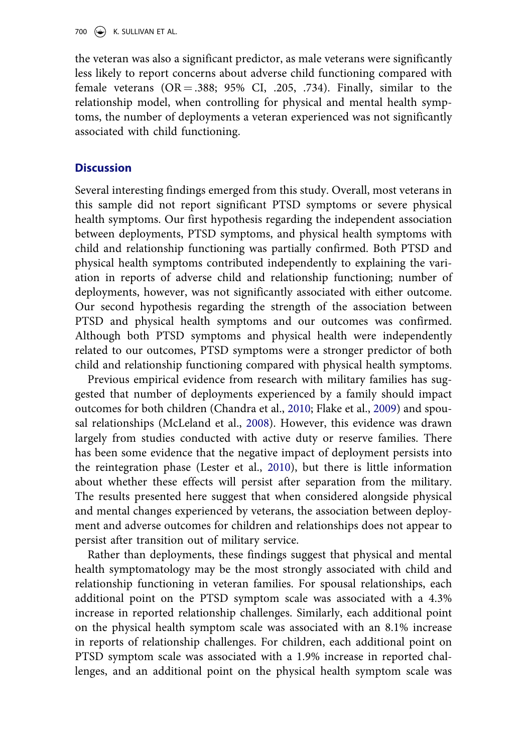the veteran was also a significant predictor, as male veterans were significantly less likely to report concerns about adverse child functioning compared with female veterans  $(OR = .388; 95\% \text{ CI}, .205, .734)$ . Finally, similar to the relationship model, when controlling for physical and mental health symptoms, the number of deployments a veteran experienced was not significantly associated with child functioning.

### **Discussion**

Several interesting findings emerged from this study. Overall, most veterans in this sample did not report significant PTSD symptoms or severe physical health symptoms. Our first hypothesis regarding the independent association between deployments, PTSD symptoms, and physical health symptoms with child and relationship functioning was partially confirmed. Both PTSD and physical health symptoms contributed independently to explaining the variation in reports of adverse child and relationship functioning; number of deployments, however, was not significantly associated with either outcome. Our second hypothesis regarding the strength of the association between PTSD and physical health symptoms and our outcomes was confirmed. Although both PTSD symptoms and physical health were independently related to our outcomes, PTSD symptoms were a stronger predictor of both child and relationship functioning compared with physical health symptoms.

Previous empirical evidence from research with military families has suggested that number of deployments experienced by a family should impact outcomes for both children (Chandra et al., [2010](#page-14-0); Flake et al., [2009](#page-15-0)) and spousal relationships (McLeland et al., [2008](#page-16-0)). However, this evidence was drawn largely from studies conducted with active duty or reserve families. There has been some evidence that the negative impact of deployment persists into the reintegration phase (Lester et al., [2010\)](#page-16-0), but there is little information about whether these effects will persist after separation from the military. The results presented here suggest that when considered alongside physical and mental changes experienced by veterans, the association between deployment and adverse outcomes for children and relationships does not appear to persist after transition out of military service.

Rather than deployments, these findings suggest that physical and mental health symptomatology may be the most strongly associated with child and relationship functioning in veteran families. For spousal relationships, each additional point on the PTSD symptom scale was associated with a 4.3% increase in reported relationship challenges. Similarly, each additional point on the physical health symptom scale was associated with an 8.1% increase in reports of relationship challenges. For children, each additional point on PTSD symptom scale was associated with a 1.9% increase in reported challenges, and an additional point on the physical health symptom scale was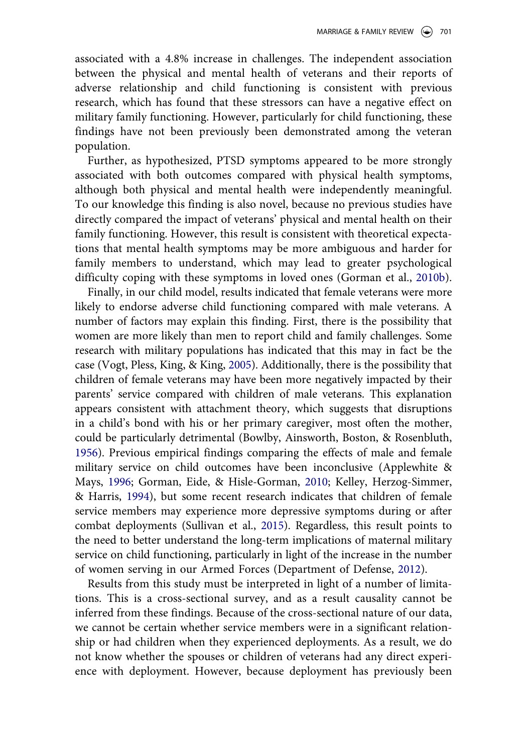associated with a 4.8% increase in challenges. The independent association between the physical and mental health of veterans and their reports of adverse relationship and child functioning is consistent with previous research, which has found that these stressors can have a negative effect on military family functioning. However, particularly for child functioning, these findings have not been previously been demonstrated among the veteran population.

Further, as hypothesized, PTSD symptoms appeared to be more strongly associated with both outcomes compared with physical health symptoms, although both physical and mental health were independently meaningful. To our knowledge this finding is also novel, because no previous studies have directly compared the impact of veterans' physical and mental health on their family functioning. However, this result is consistent with theoretical expectations that mental health symptoms may be more ambiguous and harder for family members to understand, which may lead to greater psychological difficulty coping with these symptoms in loved ones (Gorman et al., [2010b\)](#page-15-0).

Finally, in our child model, results indicated that female veterans were more likely to endorse adverse child functioning compared with male veterans. A number of factors may explain this finding. First, there is the possibility that women are more likely than men to report child and family challenges. Some research with military populations has indicated that this may in fact be the case (Vogt, Pless, King, & King, [2005](#page-16-0)). Additionally, there is the possibility that children of female veterans may have been more negatively impacted by their parents' service compared with children of male veterans. This explanation appears consistent with attachment theory, which suggests that disruptions in a child's bond with his or her primary caregiver, most often the mother, could be particularly detrimental (Bowlby, Ainsworth, Boston, & Rosenbluth, [1956](#page-14-0)). Previous empirical findings comparing the effects of male and female military service on child outcomes have been inconclusive (Applewhite & Mays, [1996](#page-14-0); Gorman, Eide, & Hisle-Gorman, [2010](#page-15-0); Kelley, Herzog-Simmer, & Harris, [1994\)](#page-15-0), but some recent research indicates that children of female service members may experience more depressive symptoms during or after combat deployments (Sullivan et al., [2015](#page-16-0)). Regardless, this result points to the need to better understand the long-term implications of maternal military service on child functioning, particularly in light of the increase in the number of women serving in our Armed Forces (Department of Defense, [2012](#page-15-0)).

Results from this study must be interpreted in light of a number of limitations. This is a cross-sectional survey, and as a result causality cannot be inferred from these findings. Because of the cross-sectional nature of our data, we cannot be certain whether service members were in a significant relationship or had children when they experienced deployments. As a result, we do not know whether the spouses or children of veterans had any direct experience with deployment. However, because deployment has previously been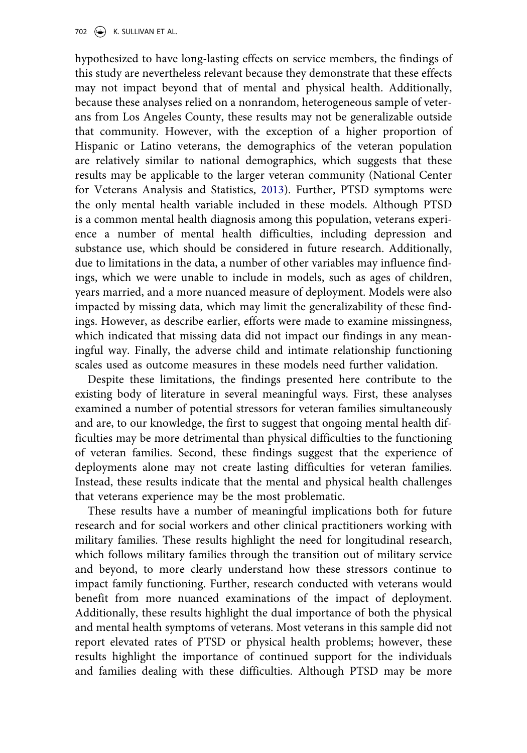hypothesized to have long-lasting effects on service members, the findings of this study are nevertheless relevant because they demonstrate that these effects may not impact beyond that of mental and physical health. Additionally, because these analyses relied on a nonrandom, heterogeneous sample of veterans from Los Angeles County, these results may not be generalizable outside that community. However, with the exception of a higher proportion of Hispanic or Latino veterans, the demographics of the veteran population are relatively similar to national demographics, which suggests that these results may be applicable to the larger veteran community (National Center for Veterans Analysis and Statistics, [2013\)](#page-16-0). Further, PTSD symptoms were the only mental health variable included in these models. Although PTSD is a common mental health diagnosis among this population, veterans experience a number of mental health difficulties, including depression and substance use, which should be considered in future research. Additionally, due to limitations in the data, a number of other variables may influence findings, which we were unable to include in models, such as ages of children, years married, and a more nuanced measure of deployment. Models were also impacted by missing data, which may limit the generalizability of these findings. However, as describe earlier, efforts were made to examine missingness, which indicated that missing data did not impact our findings in any meaningful way. Finally, the adverse child and intimate relationship functioning scales used as outcome measures in these models need further validation.

Despite these limitations, the findings presented here contribute to the existing body of literature in several meaningful ways. First, these analyses examined a number of potential stressors for veteran families simultaneously and are, to our knowledge, the first to suggest that ongoing mental health difficulties may be more detrimental than physical difficulties to the functioning of veteran families. Second, these findings suggest that the experience of deployments alone may not create lasting difficulties for veteran families. Instead, these results indicate that the mental and physical health challenges that veterans experience may be the most problematic.

These results have a number of meaningful implications both for future research and for social workers and other clinical practitioners working with military families. These results highlight the need for longitudinal research, which follows military families through the transition out of military service and beyond, to more clearly understand how these stressors continue to impact family functioning. Further, research conducted with veterans would benefit from more nuanced examinations of the impact of deployment. Additionally, these results highlight the dual importance of both the physical and mental health symptoms of veterans. Most veterans in this sample did not report elevated rates of PTSD or physical health problems; however, these results highlight the importance of continued support for the individuals and families dealing with these difficulties. Although PTSD may be more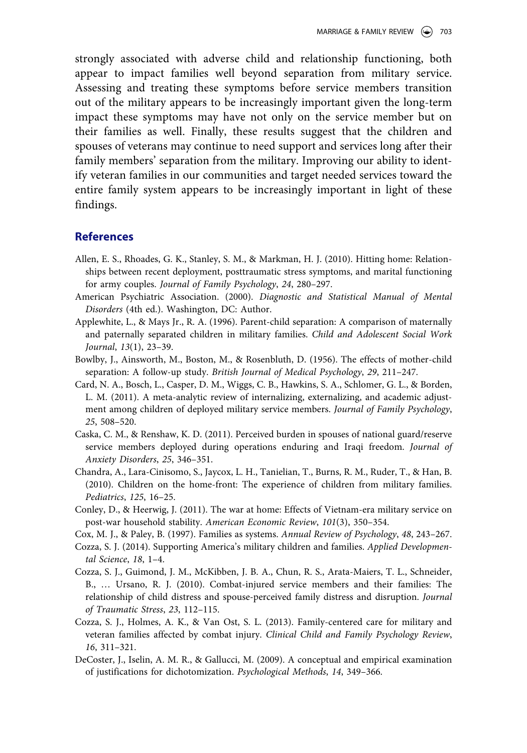<span id="page-14-0"></span>strongly associated with adverse child and relationship functioning, both appear to impact families well beyond separation from military service. Assessing and treating these symptoms before service members transition out of the military appears to be increasingly important given the long-term impact these symptoms may have not only on the service member but on their families as well. Finally, these results suggest that the children and spouses of veterans may continue to need support and services long after their family members' separation from the military. Improving our ability to identify veteran families in our communities and target needed services toward the entire family system appears to be increasingly important in light of these findings.

#### **References**

- Allen, E. S., Rhoades, G. K., Stanley, S. M., & Markman, H. J. (2010). Hitting home: Relationships between recent deployment, posttraumatic stress symptoms, and marital functioning for army couples. *Journal of Family Psychology*, *24*, 280–297.
- American Psychiatric Association. (2000). *Diagnostic and Statistical Manual of Mental Disorders* (4th ed.). Washington, DC: Author.
- Applewhite, L., & Mays Jr., R. A. (1996). Parent-child separation: A comparison of maternally and paternally separated children in military families. *Child and Adolescent Social Work Journal*, *13*(1), 23–39.
- Bowlby, J., Ainsworth, M., Boston, M., & Rosenbluth, D. (1956). The effects of mother-child separation: A follow-up study. *British Journal of Medical Psychology*, *29*, 211–247.
- Card, N. A., Bosch, L., Casper, D. M., Wiggs, C. B., Hawkins, S. A., Schlomer, G. L., & Borden, L. M. (2011). A meta-analytic review of internalizing, externalizing, and academic adjustment among children of deployed military service members. *Journal of Family Psychology*, *25*, 508–520.
- Caska, C. M., & Renshaw, K. D. (2011). Perceived burden in spouses of national guard/reserve service members deployed during operations enduring and Iraqi freedom. *Journal of Anxiety Disorders*, *25*, 346–351.
- Chandra, A., Lara-Cinisomo, S., Jaycox, L. H., Tanielian, T., Burns, R. M., Ruder, T., & Han, B. (2010). Children on the home-front: The experience of children from military families. *Pediatrics*, *125*, 16–25.
- Conley, D., & Heerwig, J. (2011). The war at home: Effects of Vietnam-era military service on post-war household stability. *American Economic Review*, *101*(3), 350–354.
- Cox, M. J., & Paley, B. (1997). Families as systems. *Annual Review of Psychology*, *48*, 243–267.
- Cozza, S. J. (2014). Supporting America's military children and families. *Applied Developmental Science*, *18*, 1–4.
- Cozza, S. J., Guimond, J. M., McKibben, J. B. A., Chun, R. S., Arata-Maiers, T. L., Schneider, B., … Ursano, R. J. (2010). Combat-injured service members and their families: The relationship of child distress and spouse-perceived family distress and disruption. *Journal of Traumatic Stress*, *23*, 112–115.
- Cozza, S. J., Holmes, A. K., & Van Ost, S. L. (2013). Family-centered care for military and veteran families affected by combat injury. *Clinical Child and Family Psychology Review*, *16*, 311–321.
- DeCoster, J., Iselin, A. M. R., & Gallucci, M. (2009). A conceptual and empirical examination of justifications for dichotomization. *Psychological Methods*, *14*, 349–366.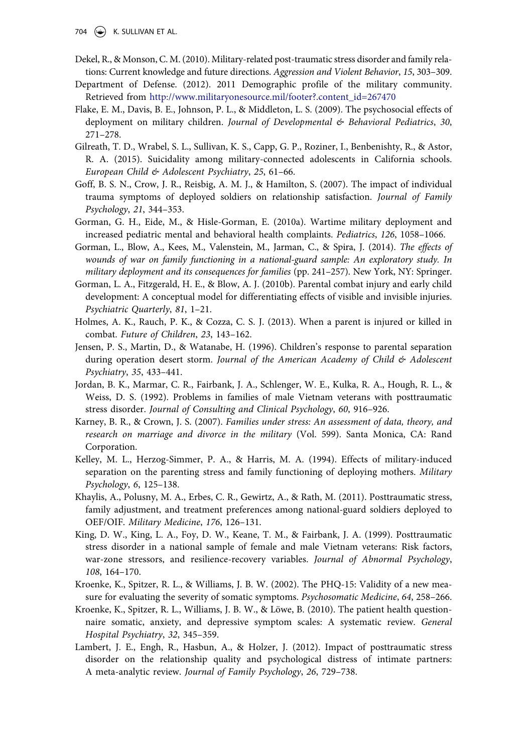<span id="page-15-0"></span>704  $\left(\rightarrow\right)$  K. SULLIVAN ET AL.

- Dekel, R., & Monson, C. M. (2010). Military-related post-traumatic stress disorder and family relations: Current knowledge and future directions. *Aggression and Violent Behavior*, *15*, 303–309.
- Department of Defense. (2012). 2011 Demographic profile of the military community. Retrieved from [http://www.militaryonesource.mil/footer?.content\\_id=267470](http://www.militaryonesource.mil/footer?.content_id=267470)
- Flake, E. M., Davis, B. E., Johnson, P. L., & Middleton, L. S. (2009). The psychosocial effects of deployment on military children. *Journal of Developmental & Behavioral Pediatrics*, *30*, 271–278.
- Gilreath, T. D., Wrabel, S. L., Sullivan, K. S., Capp, G. P., Roziner, I., Benbenishty, R., & Astor, R. A. (2015). Suicidality among military-connected adolescents in California schools. *European Child & Adolescent Psychiatry*, *25*, 61–66.
- Goff, B. S. N., Crow, J. R., Reisbig, A. M. J., & Hamilton, S. (2007). The impact of individual trauma symptoms of deployed soldiers on relationship satisfaction. *Journal of Family Psychology*, *21*, 344–353.
- Gorman, G. H., Eide, M., & Hisle-Gorman, E. (2010a). Wartime military deployment and increased pediatric mental and behavioral health complaints. *Pediatrics*, *126*, 1058–1066.
- Gorman, L., Blow, A., Kees, M., Valenstein, M., Jarman, C., & Spira, J. (2014). *The effects of wounds of war on family functioning in a national-guard sample: An exploratory study. In military deployment and its consequences for families* (pp. 241–257). New York, NY: Springer.
- Gorman, L. A., Fitzgerald, H. E., & Blow, A. J. (2010b). Parental combat injury and early child development: A conceptual model for differentiating effects of visible and invisible injuries. *Psychiatric Quarterly*, *81*, 1–21.
- Holmes, A. K., Rauch, P. K., & Cozza, C. S. J. (2013). When a parent is injured or killed in combat. *Future of Children*, *23*, 143–162.
- Jensen, P. S., Martin, D., & Watanabe, H. (1996). Children's response to parental separation during operation desert storm. *Journal of the American Academy of Child & Adolescent Psychiatry*, *35*, 433–441.
- Jordan, B. K., Marmar, C. R., Fairbank, J. A., Schlenger, W. E., Kulka, R. A., Hough, R. L., & Weiss, D. S. (1992). Problems in families of male Vietnam veterans with posttraumatic stress disorder. *Journal of Consulting and Clinical Psychology*, *60*, 916–926.
- Karney, B. R., & Crown, J. S. (2007). *Families under stress: An assessment of data, theory, and research on marriage and divorce in the military* (Vol. 599). Santa Monica, CA: Rand Corporation.
- Kelley, M. L., Herzog-Simmer, P. A., & Harris, M. A. (1994). Effects of military-induced separation on the parenting stress and family functioning of deploying mothers. *Military Psychology*, *6*, 125–138.
- Khaylis, A., Polusny, M. A., Erbes, C. R., Gewirtz, A., & Rath, M. (2011). Posttraumatic stress, family adjustment, and treatment preferences among national-guard soldiers deployed to OEF/OIF. *Military Medicine*, *176*, 126–131.
- King, D. W., King, L. A., Foy, D. W., Keane, T. M., & Fairbank, J. A. (1999). Posttraumatic stress disorder in a national sample of female and male Vietnam veterans: Risk factors, war-zone stressors, and resilience-recovery variables. *Journal of Abnormal Psychology*, *108*, 164–170.
- Kroenke, K., Spitzer, R. L., & Williams, J. B. W. (2002). The PHQ-15: Validity of a new measure for evaluating the severity of somatic symptoms. *Psychosomatic Medicine*, *64*, 258–266.
- Kroenke, K., Spitzer, R. L., Williams, J. B. W., & Löwe, B. (2010). The patient health questionnaire somatic, anxiety, and depressive symptom scales: A systematic review. *General Hospital Psychiatry*, *32*, 345–359.
- Lambert, J. E., Engh, R., Hasbun, A., & Holzer, J. (2012). Impact of posttraumatic stress disorder on the relationship quality and psychological distress of intimate partners: A meta-analytic review. *Journal of Family Psychology*, *26*, 729–738.